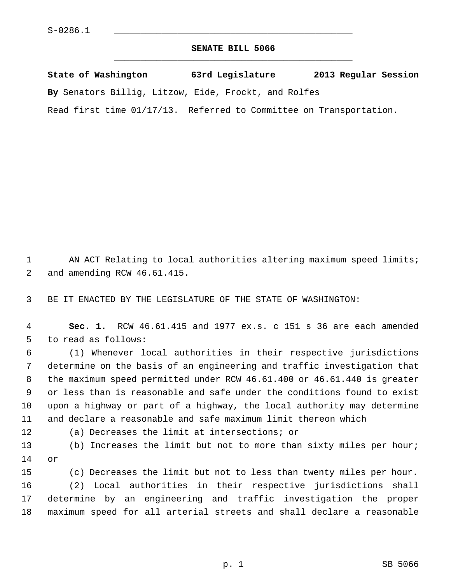## **SENATE BILL 5066** \_\_\_\_\_\_\_\_\_\_\_\_\_\_\_\_\_\_\_\_\_\_\_\_\_\_\_\_\_\_\_\_\_\_\_\_\_\_\_\_\_\_\_\_\_

**State of Washington 63rd Legislature 2013 Regular Session By** Senators Billig, Litzow, Eide, Frockt, and Rolfes Read first time 01/17/13. Referred to Committee on Transportation.

1 AN ACT Relating to local authorities altering maximum speed limits; 2 and amending RCW 46.61.415.

3 BE IT ENACTED BY THE LEGISLATURE OF THE STATE OF WASHINGTON:

 4 **Sec. 1.** RCW 46.61.415 and 1977 ex.s. c 151 s 36 are each amended 5 to read as follows:

 6 (1) Whenever local authorities in their respective jurisdictions 7 determine on the basis of an engineering and traffic investigation that 8 the maximum speed permitted under RCW 46.61.400 or 46.61.440 is greater 9 or less than is reasonable and safe under the conditions found to exist 10 upon a highway or part of a highway, the local authority may determine 11 and declare a reasonable and safe maximum limit thereon which

12 (a) Decreases the limit at intersections; or

13 (b) Increases the limit but not to more than sixty miles per hour; 14 or

15 (c) Decreases the limit but not to less than twenty miles per hour. 16 (2) Local authorities in their respective jurisdictions shall 17 determine by an engineering and traffic investigation the proper 18 maximum speed for all arterial streets and shall declare a reasonable